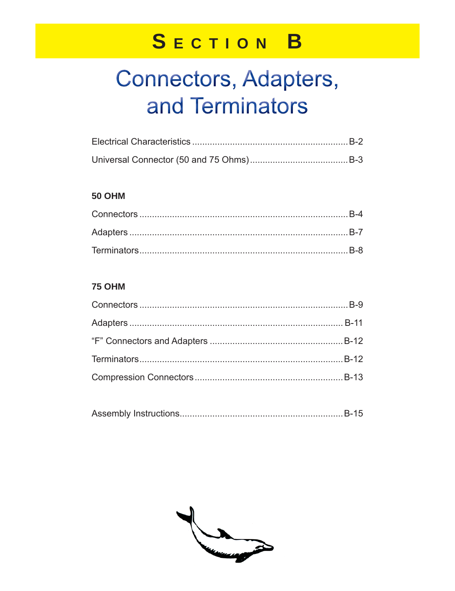### SECTION B

## Connectors, Adapters, and Terminators

#### **50 OHM**

#### **75 OHM**

|--|--|

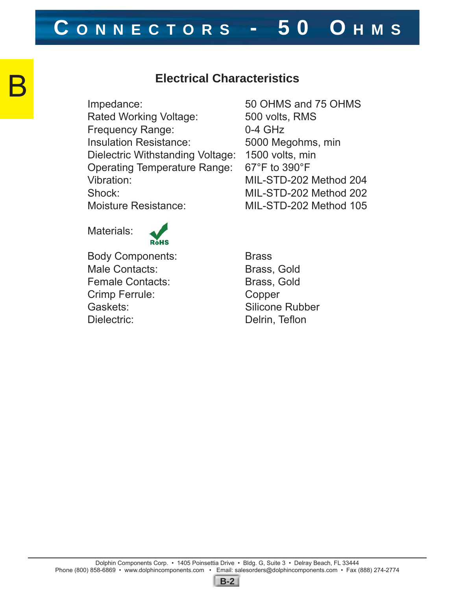### **C ONNECTORS - 50 O HMS**

#### **Electrical Characteristics**

Impedance: 50 OHMS and 75 OHMS Rated Working Voltage: 500 volts, RMS Frequency Range: 0-4 GHz Insulation Resistance: 5000 Megohms, min Dielectric Withstanding Voltage: 1500 volts, min Operating Temperature Range: 67°F to 390°F Vibration: MIL-STD-202 Method 204 Shock: MIL-STD-202 Method 202 Moisture Resistance: MIL-STD-202 Method 105

Materials:

B



Body Components: Brass Male Contacts: Brass, Gold Female Contacts: Brass, Gold Crimp Ferrule: Copper Gaskets: Silicone Rubber Dielectric: Delrin, Teflon

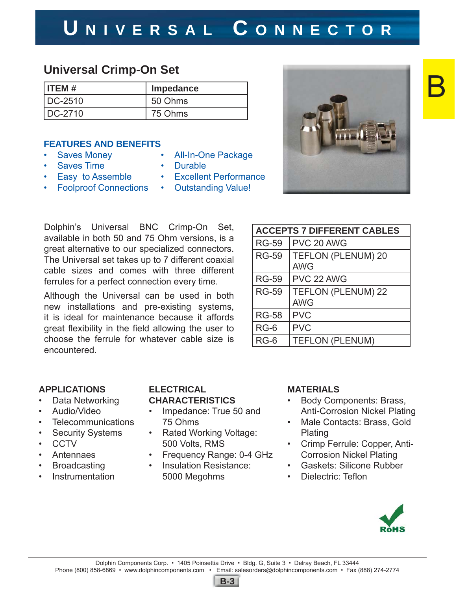### Dolphin Components Corp. • 1405 Poinsettia Drive • Bldg. G, Suite 3 • Delray Beach, FL 33444 Phone (800) 858-6869 • www.dolphincomponents.com • Email: salesorders@dolphincomponents.com • Fax (888) 274-2774

### **U NIVERSAL C ONNECTOR**

#### **Universal Crimp-On Set**

| $I$ ITEM $#$ | Impedance |
|--------------|-----------|
| IDC-2510     | 50 Ohms   |
| DC-2710      | 75 Ohms   |

#### **FEATURES AND BENEFITS**

- Saves Money
- Saves Time
- Easy to Assemble
- Foolproof Connections
- All-In-One Package
- Durable
- Excellent Performance
- Outstanding Value!

Dolphin's Universal BNC Crimp-On Set, available in both 50 and 75 Ohm versions, is a great alternative to our specialized connectors. The Universal set takes up to 7 different coaxial cable sizes and comes with three different ferrules for a perfect connection every time.

Although the Universal can be used in both new installations and pre-existing systems, it is ideal for maintenance because it affords great flexibility in the field allowing the user to choose the ferrule for whatever cable size is encountered.

| <b>ACCEPTS 7 DIFFERENT CABLES</b> |                                         |  |
|-----------------------------------|-----------------------------------------|--|
| <b>RG-59</b>                      | PVC 20 AWG                              |  |
| <b>RG-59</b>                      | <b>TEFLON (PLENUM) 20</b><br><b>AWG</b> |  |
| <b>RG-59</b>                      | PVC 22 AWG                              |  |
| <b>RG-59</b>                      | <b>TEFLON (PLENUM) 22</b><br><b>AWG</b> |  |
| <b>RG-58</b>                      | <b>PVC</b>                              |  |
| $RG-6$                            | <b>PVC</b>                              |  |
| $RG-6$                            | <b>TEFLON (PLENUM)</b>                  |  |

#### **APPLICATIONS**

- Data Networking
- Audio/Video
- Telecommunications
- **Security Systems**
- CCTV
- **Antennaes**
- **Broadcasting**
- **Instrumentation**

#### **ELECTRICAL CHARACTERISTICS**

- Impedance: True 50 and 75 Ohms
- Rated Working Voltage: 500 Volts, RMS
- Frequency Range: 0-4 GHz
- Insulation Resistance: 5000 Megohms

#### **MATERIALS**

- Body Components: Brass, Anti-Corrosion Nickel Plating
- Male Contacts: Brass, Gold Plating
- Crimp Ferrule: Copper, Anti-Corrosion Nickel Plating
- Gaskets: Silicone Rubber
- Dielectric: Teflon







B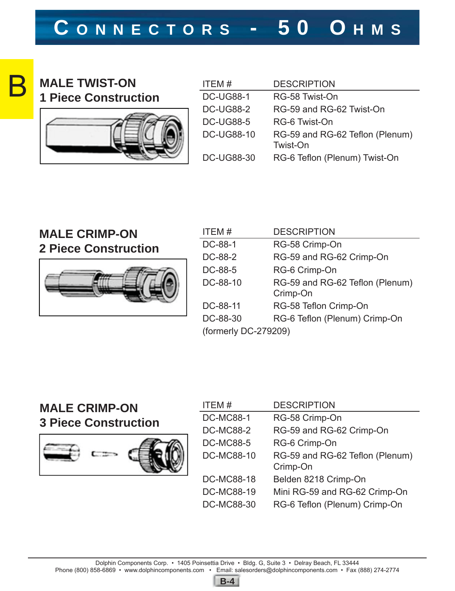

#### **MALE TWIST-ON 1 Piece Construction**



| ITEM#             | <b>DESCRIPTION</b>                          |
|-------------------|---------------------------------------------|
| <b>DC-UG88-1</b>  | RG-58 Twist-On                              |
| <b>DC-UG88-2</b>  | RG-59 and RG-62 Twist-On                    |
| <b>DC-UG88-5</b>  | RG-6 Twist-On                               |
| <b>DC-UG88-10</b> | RG-59 and RG-62 Teflon (Plenum)<br>Twist-On |
| <b>DC-UG88-30</b> | RG-6 Teflon (Plenum) Twist-On               |

#### **MALE CRIMP-ON 2 Piece Construction**



| ITEM#                | <b>DESCRIPTION</b>              |  |
|----------------------|---------------------------------|--|
| DC-88-1              | RG-58 Crimp-On                  |  |
| DC-88-2              | RG-59 and RG-62 Crimp-On        |  |
| DC-88-5              | RG-6 Crimp-On                   |  |
| DC-88-10             | RG-59 and RG-62 Teflon (Plenum) |  |
|                      | Crimp-On                        |  |
| DC-88-11             | RG-58 Teflon Crimp-On           |  |
| DC-88-30             | RG-6 Teflon (Plenum) Crimp-On   |  |
| (formerly DC-279209) |                                 |  |

#### **MALE CRIMP-ON 3 Piece Construction**



| ITEM#             | <b>DESCRIPTION</b>                          |
|-------------------|---------------------------------------------|
| <b>DC-MC88-1</b>  | RG-58 Crimp-On                              |
| <b>DC-MC88-2</b>  | RG-59 and RG-62 Crimp-On                    |
| <b>DC-MC88-5</b>  | RG-6 Crimp-On                               |
| <b>DC-MC88-10</b> | RG-59 and RG-62 Teflon (Plenum)<br>Crimp-On |
| <b>DC-MC88-18</b> | Belden 8218 Crimp-On                        |
| <b>DC-MC88-19</b> | Mini RG-59 and RG-62 Crimp-On               |
| <b>DC-MC88-30</b> | RG-6 Teflon (Plenum) Crimp-On               |

**B-4**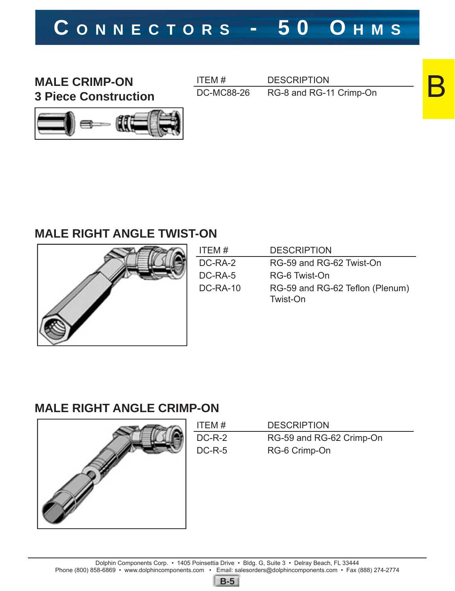### **C ONNECTORS - 50 O HMS**

**MALE CRIMP-ON 3 Piece Construction** ITEM # DESCRIPTION DC-MC88-26 RG-8 and RG-11 Crimp-On B



#### **MALE RIGHT ANGLE TWIST-ON**



| ITEM #          | <b>DESCRIPTION</b>                          |
|-----------------|---------------------------------------------|
| DC-RA-2         | RG-59 and RG-62 Twist-On                    |
| DC-RA-5         | RG-6 Twist-On                               |
| <b>DC-RA-10</b> | RG-59 and RG-62 Teflon (Plenum)<br>Twist-On |

#### **MALE RIGHT ANGLE CRIMP-ON**



| ITEM#    | <b>DESCRIPTION</b>       |
|----------|--------------------------|
| $DC-R-2$ | RG-59 and RG-62 Crimp-On |
| $DC-R-5$ | RG-6 Crimp-On            |

**B-5**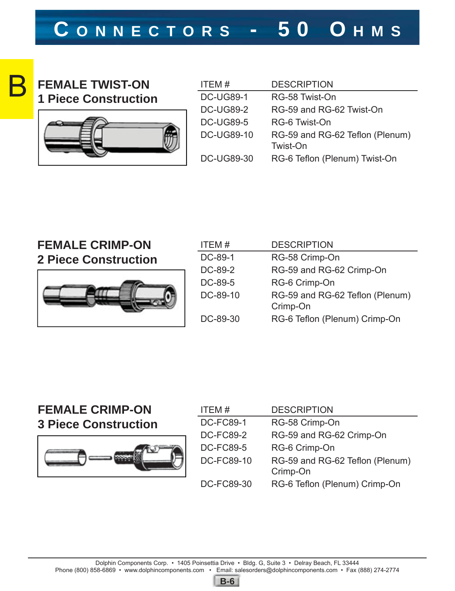

#### **FEMALE TWIST-ON 1 Piece Construction**



| ITEM#             | <b>DESCRIPTION</b>                          |
|-------------------|---------------------------------------------|
| <b>DC-UG89-1</b>  | RG-58 Twist-On                              |
| <b>DC-UG89-2</b>  | RG-59 and RG-62 Twist-On                    |
| <b>DC-UG89-5</b>  | RG-6 Twist-On                               |
| <b>DC-UG89-10</b> | RG-59 and RG-62 Teflon (Plenum)<br>Twist-On |
| DC-UG89-30        | RG-6 Teflon (Plenum) Twist-On               |

### **FEMALE CRIMP-ON**





| ITEM#    | <b>DESCRIPTION</b>              |
|----------|---------------------------------|
| DC-89-1  | RG-58 Crimp-On                  |
| DC-89-2  | RG-59 and RG-62 Crimp-On        |
| DC-89-5  | RG-6 Crimp-On                   |
| DC-89-10 | RG-59 and RG-62 Teflon (Plenum) |
|          | Crimp-On                        |
| DC-89-30 | RG-6 Teflon (Plenum) Crimp-On   |

#### **FEMALE CRIMP-ON 3 Piece Construction**



| ITEM#             | <b>DESCRIPTION</b>              |
|-------------------|---------------------------------|
| <b>DC-FC89-1</b>  | RG-58 Crimp-On                  |
| <b>DC-FC89-2</b>  | RG-59 and RG-62 Crimp-On        |
| <b>DC-FC89-5</b>  | RG-6 Crimp-On                   |
| DC-FC89-10        | RG-59 and RG-62 Teflon (Plenum) |
|                   | Crimp-On                        |
| <b>DC-FC89-30</b> | RG-6 Teflon (Plenum) Crimp-On   |
|                   |                                 |

**B-6**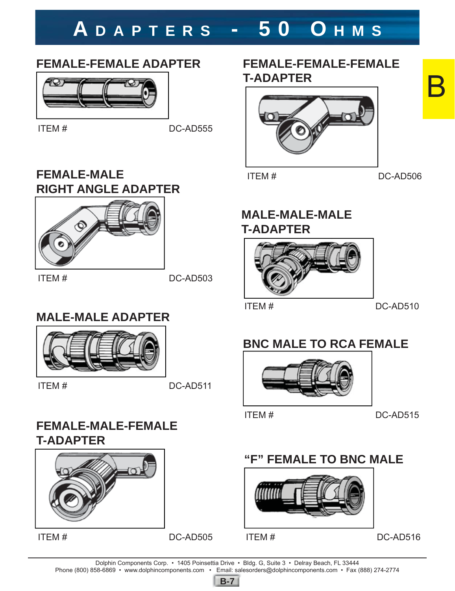### **A DAPTERS - 50 O HMS**

#### **FEMALE-FEMALE ADAPTER**



ITEM # DC-AD555

#### **FEMALE-MALE RIGHT ANGLE ADAPTER**



 $\text{ITEM} \# \text{ DCAD}$ 

#### **MALE-MALE ADAPTER**



ITEM # DC-AD511

#### **FEMALE-MALE-FEMALE T-ADAPTER**



ITEM # DC-AD505

#### **FEMALE-FEMALE-FEMALE T-ADAPTER**



ITEM # DC-AD506

B

#### **MALE-MALE-MALE T-ADAPTER**



ITEM # DC-AD510

#### **BNC MALE TO RCA FEMALE**



ITEM # DC-AD515

#### **"F" FEMALE TO BNC MALE**



ITEM # DC-AD516

Dolphin Components Corp. • 1405 Poinsettia Drive • Bldg. G, Suite 3 • Delray Beach, FL 33444 Phone (800) 858-6869 • www.dolphincomponents.com • Email: salesorders@dolphincomponents.com • Fax (888) 274-2774

**B-7**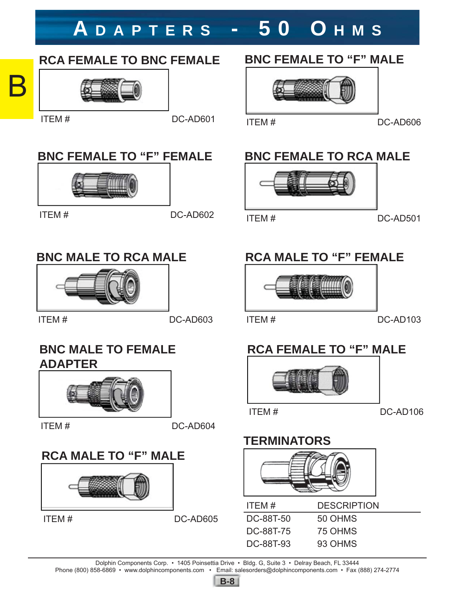### **A DAPTERS - 50 O HMS**

#### **RCA FEMALE TO BNC FEMALE**

# B

#### **BNC FEMALE TO "F" FEMALE**



ITEM # DC-AD602

#### **BNC MALE TO RCA MALE**



ITEM # DC-AD603

#### **BNC MALE TO FEMALE ADAPTER**



ITEM # DC-AD604

#### **RCA MALE TO "F" MALE**



ITEM # DC-AD605

#### **BNC FEMALE TO "F" MALE**



#### ITEM  $\#$  DC-AD601 ITEM  $\#$  DC-AD606

#### **BNC FEMALE TO RCA MALE**





#### **RCA MALE TO "F" FEMALE**



#### ITEM # DC-AD103

### **RCA FEMALE TO "F" MALE**



ITEM # DC-AD106

#### **TERMINATORS**



| <b>DESCRIPTION</b> |
|--------------------|
| 50 OHMS            |
| 75 OHMS            |
| 93 OHMS            |
|                    |

Dolphin Components Corp. • 1405 Poinsettia Drive • Bldg. G, Suite 3 • Delray Beach, FL 33444

Phone (800) 858-6869 • www.dolphincomponents.com • Email: salesorders@dolphincomponents.com • Fax (888) 274-2774

**B-8**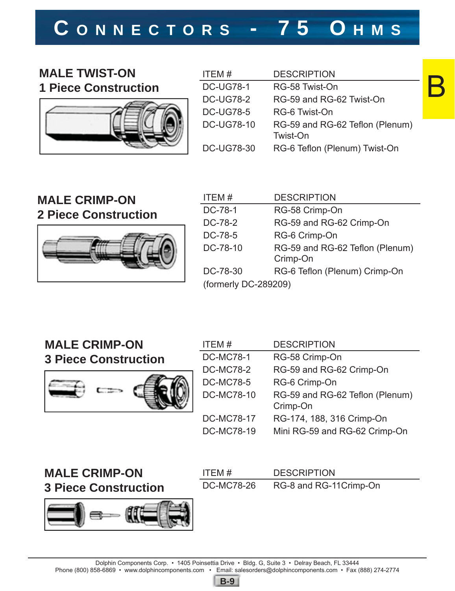## **C ONNECTORS - 75 O HMS**

#### **MALE TWIST-ON 1 Piece Construction**



| ITEM#             | <b>DESCRIPTION</b>                          |
|-------------------|---------------------------------------------|
| <b>DC-UG78-1</b>  | RG-58 Twist-On                              |
| <b>DC-UG78-2</b>  | RG-59 and RG-62 Twist-On                    |
| <b>DC-UG78-5</b>  | RG-6 Twist-On                               |
| <b>DC-UG78-10</b> | RG-59 and RG-62 Teflon (Plenum)<br>Twist-On |
| <b>DC-UG78-30</b> | RG-6 Teflon (Plenum) Twist-On               |

#### **MALE CRIMP-ON 2 Piece Construction**



| ITEM#                | <b>DESCRIPTION</b>              |
|----------------------|---------------------------------|
| DC-78-1              | RG-58 Crimp-On                  |
| DC-78-2              | RG-59 and RG-62 Crimp-On        |
| DC-78-5              | RG-6 Crimp-On                   |
| DC-78-10             | RG-59 and RG-62 Teflon (Plenum) |
|                      | Crimp-On                        |
| DC-78-30             | RG-6 Teflon (Plenum) Crimp-On   |
| (formerly DC-289209) |                                 |
|                      |                                 |

#### **MALE CRIMP-ON 3 Piece Construction**



| ITEM#             | <b>DESCRIPTION</b>                          |
|-------------------|---------------------------------------------|
| <b>DC-MC78-1</b>  | RG-58 Crimp-On                              |
| <b>DC-MC78-2</b>  | RG-59 and RG-62 Crimp-On                    |
| <b>DC-MC78-5</b>  | RG-6 Crimp-On                               |
| <b>DC-MC78-10</b> | RG-59 and RG-62 Teflon (Plenum)<br>Crimp-On |
| <b>DC-MC78-17</b> | RG-174, 188, 316 Crimp-On                   |
| <b>DC-MC78-19</b> | Mini RG-59 and RG-62 Crimp-On               |

#### **MALE CRIMP-ON 3 Piece Construction**



| ITFM#             | <b>DESCRIPTION</b>     |
|-------------------|------------------------|
| <b>DC-MC78-26</b> | RG-8 and RG-11Crimp-On |

Dolphin Components Corp. • 1405 Poinsettia Drive • Bldg. G, Suite 3 • Delray Beach, FL 33444

Phone (800) 858-6869 • www.dolphincomponents.com • Email: salesorders@dolphincomponents.com • Fax (888) 274-2774



B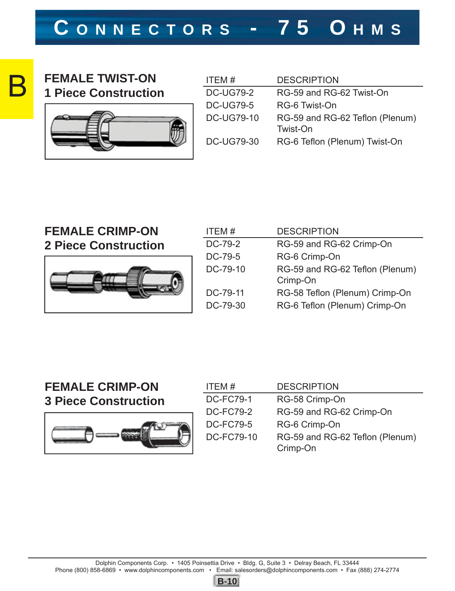### **C ONNECTORS - 75 O HMS**



#### **FEMALE TWIST-ON 1 Piece Construction**



| RG-59 and RG-62 Teflon (Plenum) |
|---------------------------------|
| RG-6 Teflon (Plenum) Twist-On   |
|                                 |

#### **FEMALE CRIMP-ON 2 Piece Construction**



| ITEM#    | <b>DESCRIPTION</b>                          |
|----------|---------------------------------------------|
| DC-79-2  | RG-59 and RG-62 Crimp-On                    |
| DC-79-5  | RG-6 Crimp-On                               |
| DC-79-10 | RG-59 and RG-62 Teflon (Plenum)<br>Crimp-On |
| DC-79-11 | RG-58 Teflon (Plenum) Crimp-On              |
| DC-79-30 | RG-6 Teflon (Plenum) Crimp-On               |
|          |                                             |

#### **FEMALE CRIMP-ON 3 Piece Construction**



| ITEM#             | <b>DESCRIPTION</b>                          |
|-------------------|---------------------------------------------|
| <b>DC-FC79-1</b>  | RG-58 Crimp-On                              |
| <b>DC-FC79-2</b>  | RG-59 and RG-62 Crimp-On                    |
| <b>DC-FC79-5</b>  | RG-6 Crimp-On                               |
| <b>DC-FC79-10</b> | RG-59 and RG-62 Teflon (Plenum)<br>Crimp-On |

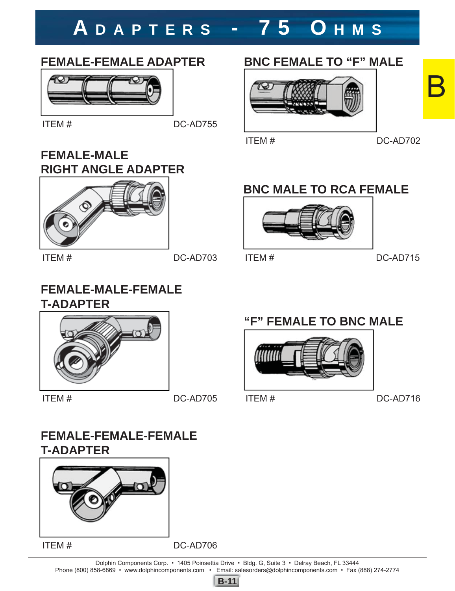## **A DAPTERS - 75 O HMS**

#### **FEMALE-FEMALE ADAPTER**



ITEM # DC-AD755

#### **FEMALE-MALE RIGHT ANGLE ADAPTER**



ITEM # DC-AD703

#### **FEMALE-MALE-FEMALE T-ADAPTER**



ITEM # DC-AD705

#### **FEMALE-FEMALE-FEMALE T-ADAPTER**



ITEM # DC-AD706

7 S

**BNC FEMALE TO "F" MALE**



ITEM # DC-AD702

#### **BNC MALE TO RCA FEMALE**



ITEM # DC-AD715

#### **"F" FEMALE TO BNC MALE**



ITEM # DC-AD716

Dolphin Components Corp. • 1405 Poinsettia Drive • Bldg. G, Suite 3 • Delray Beach, FL 33444 Phone (800) 858-6869 • www.dolphincomponents.com • Email: salesorders@dolphincomponents.com • Fax (888) 274-2774



B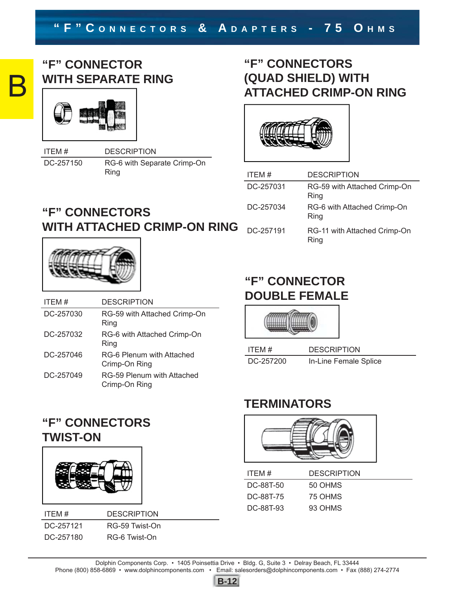# B

#### **"F" CONNECTOR WITH SEPARATE RING**



ITEM # DESCRIPTION DC-257150 RG-6 with Separate Crimp-On Ring

#### **"F" CONNECTORS (QUAD SHIELD) WITH ATTACHED CRIMP-ON RING**



| ITEM#     | DESCRIPTION                          |
|-----------|--------------------------------------|
| DC-257031 | RG-59 with Attached Crimp-On<br>Ring |
| DC-257034 | RG-6 with Attached Crimp-On<br>Ring  |
| DC-257191 | RG-11 with Attached Crimp-On<br>Ring |

### **"F" CONNECTORS WITH ATTACHED CRIMP-ON RING**



| ITEM#     | <b>DESCRIPTION</b>                          |
|-----------|---------------------------------------------|
| DC-257030 | RG-59 with Attached Crimp-On<br>Ring        |
| DC-257032 | RG-6 with Attached Crimp-On<br>Ring         |
| DC-257046 | RG-6 Plenum with Attached<br>Crimp-On Ring  |
| DC-257049 | RG-59 Plenum with Attached<br>Crimp-On Ring |

#### **"F" CONNECTOR DOUBLE FEMALE**



| ITEM#     | <b>DESCRIPTION</b>    |
|-----------|-----------------------|
| DC-257200 | In-Line Female Splice |

#### **TERMINATORS**



| ITFM#     | <b>DESCRIPTION</b> |
|-----------|--------------------|
| DC-88T-50 | 50 OHMS            |
| DC-88T-75 | 75 OHMS            |
| DC-88T-93 | 93 OHMS            |

#### **"F" CONNECTORS TWIST-ON**



ITEM # DESCRIPTION DC-257121 RG-59 Twist-On DC-257180 RG-6 Twist-On

Dolphin Components Corp. • 1405 Poinsettia Drive • Bldg. G, Suite 3 • Delray Beach, FL 33444

Phone (800) 858-6869 • www.dolphincomponents.com • Email: salesorders@dolphincomponents.com • Fax (888) 274-2774

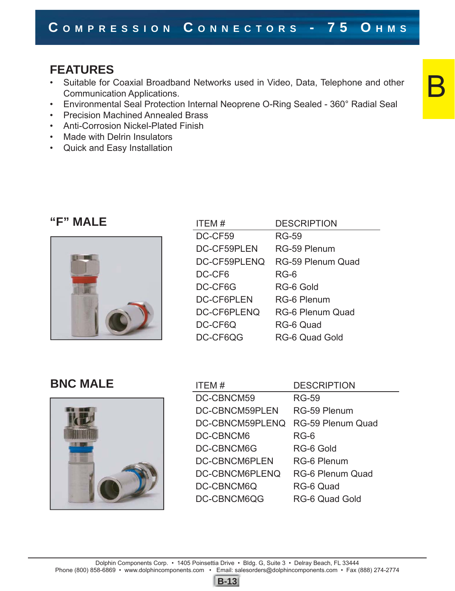#### **FEATURES**

- Suitable for Coaxial Broadband Networks used in Video, Data, Telephone and other Communication Applications.
- Environmental Seal Protection Internal Neoprene O-Ring Sealed 360° Radial Seal
- Precision Machined Annealed Brass
- Anti-Corrosion Nickel-Plated Finish
- Made with Delrin Insulators
- Quick and Easy Installation

#### "F" MALE



| ITEM#             | <b>DESCRIPTION</b>       |
|-------------------|--------------------------|
| DC-CF59           | <b>RG-59</b>             |
| DC-CF59PLEN       | RG-59 Plenum             |
| DC-CF59PLENQ      | <b>RG-59 Plenum Quad</b> |
| DC-CF6            | $RG-6$                   |
| DC-CF6G           | RG-6 Gold                |
| <b>DC-CF6PLEN</b> | RG-6 Plenum              |
| DC-CF6PLENQ       | <b>RG-6 Plenum Quad</b>  |
| DC-CF6Q           | RG-6 Quad                |
| DC-CF6QG          | <b>RG-6 Quad Gold</b>    |

#### **BNC MALE**



| ITEM#                | <b>DESCRIPTION</b>       |
|----------------------|--------------------------|
| DC-CBNCM59           | <b>RG-59</b>             |
| DC-CBNCM59PLEN       | RG-59 Plenum             |
| DC-CBNCM59PLENQ      | <b>RG-59 Plenum Quad</b> |
| DC-CBNCM6            | RG-6                     |
| DC-CBNCM6G           | RG-6 Gold                |
| <b>DC-CBNCM6PLEN</b> | <b>RG-6 Plenum</b>       |
| DC-CBNCM6PLENQ       | <b>RG-6 Plenum Quad</b>  |
| DC-CBNCM6Q           | RG-6 Quad                |
| DC-CBNCM6QG          | RG-6 Quad Gold           |

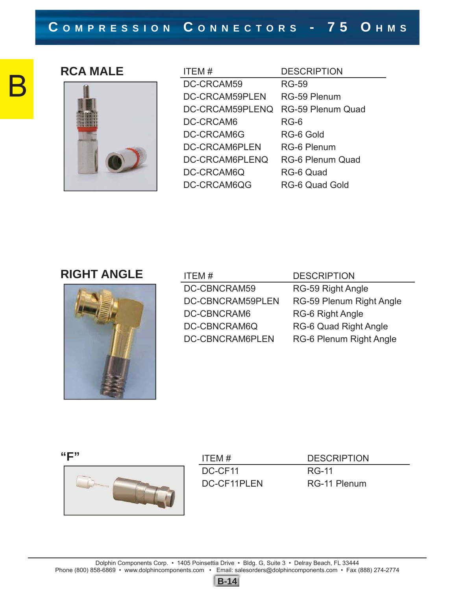# B

#### **RCA MALE**



| ITEM#           | <b>DESCRIPTION</b>       |
|-----------------|--------------------------|
| DC-CRCAM59      | <b>RG-59</b>             |
| DC-CRCAM59PLEN  | RG-59 Plenum             |
| DC-CRCAM59PLENQ | <b>RG-59 Plenum Quad</b> |
| DC-CRCAM6       | RG-6                     |
| DC-CRCAM6G      | RG-6 Gold                |
| DC-CRCAM6PLEN   | RG-6 Plenum              |
| DC-CRCAM6PLENQ  | <b>RG-6 Plenum Quad</b>  |
| DC-CRCAM6Q      | RG-6 Quad                |
| DC-CRCAM6QG     | RG-6 Quad Gold           |

#### **RIGHT ANGLE**



| ITEM#                   | <b>DESCRIPTION</b>       |
|-------------------------|--------------------------|
| DC-CBNCRAM59            | RG-59 Right Angle        |
| <b>DC-CBNCRAM59PLEN</b> | RG-59 Plenum Right Angle |
| DC-CBNCRAM6             | <b>RG-6 Right Angle</b>  |
| DC-CBNCRAM6Q            | RG-6 Quad Right Angle    |
| DC-CBNCRAM6PLEN         | RG-6 Plenum Right Angle  |

**"F"** 



| ITFM#       | <b>DESCRIPTION</b> |
|-------------|--------------------|
| DC-CF11     | RG-11              |
| DC-CF11PLFN | RG-11 Plenum       |

**B-14**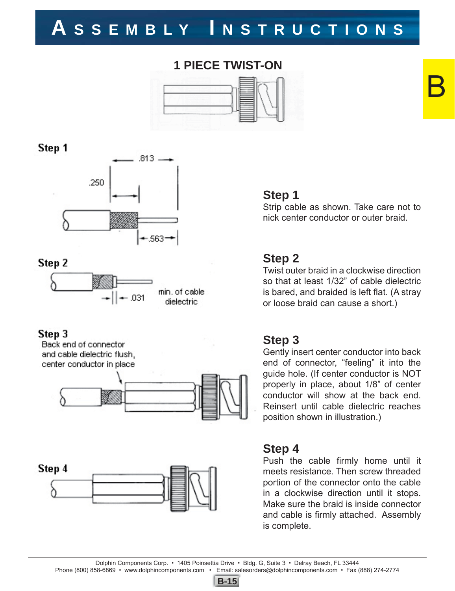#### **1 PIECE TWIST-ON**



Step 1



#### Step 2



#### Step 3

Back end of connector and cable dielectric flush. center conductor in place





#### **Step 1**

Strip cable as shown. Take care not to nick center conductor or outer braid.

B

#### **Step 2**

Twist outer braid in a clockwise direction so that at least 1/32" of cable dielectric is bared, and braided is left flat. (A stray or loose braid can cause a short.)

#### **Step 3**

Gently insert center conductor into back end of connector, "feeling" it into the guide hole. (If center conductor is NOT properly in place, about 1/8" of center conductor will show at the back end. Reinsert until cable dielectric reaches position shown in illustration.)

#### **Step 4**

Push the cable firmly home until it meets resistance. Then screw threaded portion of the connector onto the cable in a clockwise direction until it stops. Make sure the braid is inside connector and cable is firmly attached. Assembly is complete.

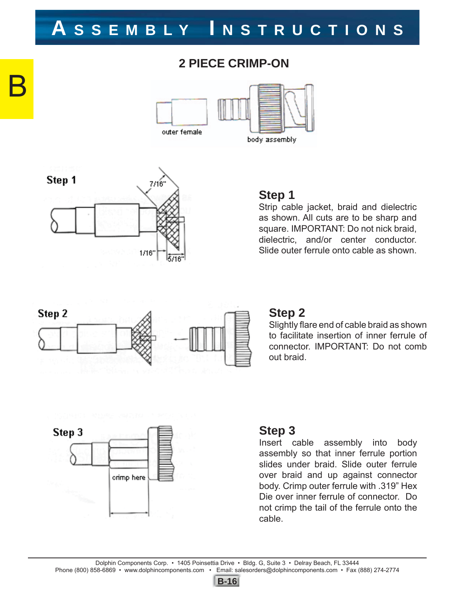#### **2 PIECE CRIMP-ON**





B

#### **Step 1**

Strip cable jacket, braid and dielectric as shown. All cuts are to be sharp and square. IMPORTANT: Do not nick braid, dielectric, and/or center conductor. Slide outer ferrule onto cable as shown.



#### **Step 2**

Slightly flare end of cable braid as shown to facilitate insertion of inner ferrule of connector. IMPORTANT: Do not comb out braid.



#### **Step 3**

Insert cable assembly into body assembly so that inner ferrule portion slides under braid. Slide outer ferrule over braid and up against connector body. Crimp outer ferrule with .319" Hex Die over inner ferrule of connector. Do not crimp the tail of the ferrule onto the cable.